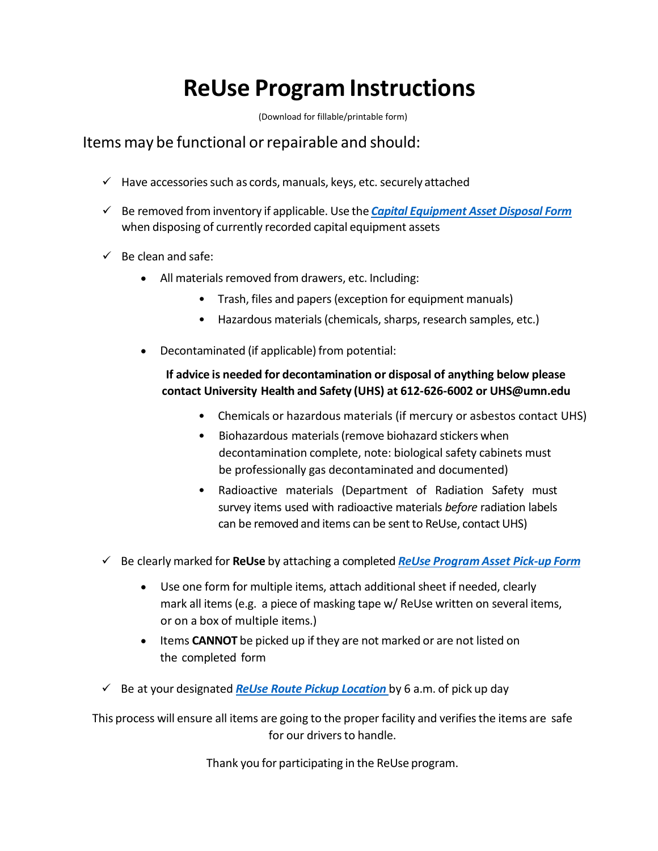# **ReUse Program Instructions**

(Download for fillable/printable form)

## Items may be functional orrepairable and should:

- $\checkmark$  Have accessories such as cords, manuals, keys, etc. securely attached
- Be removed from inventory if applicable. Use the *Capital [Equipment](http://policy.umn.edu/sites/policy.umn.edu/files/forms/propertydisposal.pdf) Asset Disposal Form* when disposing of currently recorded capital equipment assets
- $\checkmark$  Be clean and safe:
	- All materials removed from drawers, etc. Including:
		- Trash, files and papers (exception for equipment manuals)
		- Hazardous materials(chemicals, sharps, research samples, etc.)
	- Decontaminated (if applicable) from potential:

### **If advice is needed for decontamination or disposal of anything below please contact University Health and Safety (UHS) at 612-626-6002 or UHS@umn.edu**

- Chemicals or hazardous materials (if mercury or asbestos contact UHS)
- Biohazardous materials(remove biohazard stickers when decontamination complete, note: biological safety cabinets must be professionally gas decontaminated and documented)
- Radioactive materials (Department of Radiation Safety must survey items used with radioactive materials *before* radiation labels can be removed and items can be sent to ReUse, contact UHS)
- Be clearly marked for **ReUse** by attaching a completed *ReUse [Program](http://z.umn.edu/reusepickup) Asset Pick-up Form*
	- Use one form for multiple items, attach additional sheet if needed, clearly mark all items (e.g. a piece of masking tape w/ ReUse written on several items, or on a box of multiple items.)
	- Items **CANNOT** be picked up if they are not marked or are not listed on the completed form
- Be at your designated *ReUse Route Pickup [Location](http://facm.umn.edu/reuse-program/routes)* by 6 a.m. of pick up day

This process will ensure all items are going to the proper facility and verifies the items are safe for our drivers to handle.

Thank you for participating in the ReUse program.